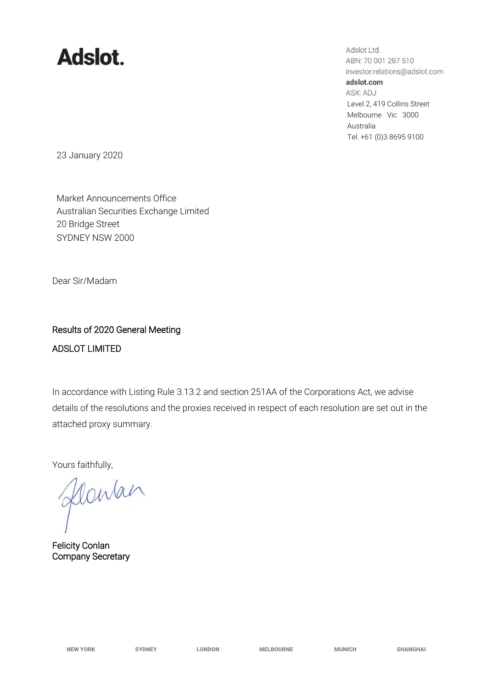## **Adslot.**

Adslot Ltd. ABN: 70 001 287 510 investor.relations@adslot.com adslot.com ASX: ADJ Level 2, 419 Collins Street Melbourne Vic 3000 Australia Tel: +61 (0)3 8695 9100

23 January 2020

Market Announcements Office Australian Securities Exchange Limited 20 Bridge Street SYDNEY NSW 2000

Dear Sir/Madam

## Results of 2020 General Meeting ADSLOT LIMITED

In accordance with Listing Rule 3.13.2 and section 251AA of the Corporations Act, we advise details of the resolutions and the proxies received in respect of each resolution are set out in the attached proxy summary.

Yours faithfully,

flowan

Felicity Conlan Company Secretary